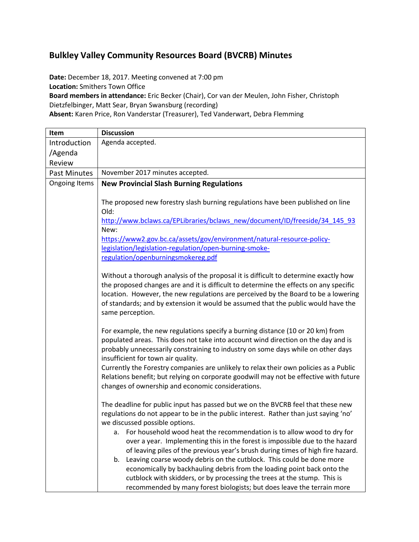## **Bulkley Valley Community Resources Board (BVCRB) Minutes**

**Date:** December 18, 2017. Meeting convened at 7:00 pm **Location:** Smithers Town Office **Board members in attendance:** Eric Becker (Chair), Cor van der Meulen, John Fisher, Christoph Dietzfelbinger, Matt Sear, Bryan Swansburg (recording) **Absent:** Karen Price, Ron Vanderstar (Treasurer), Ted Vanderwart, Debra Flemming

| Item                 | <b>Discussion</b>                                                                     |  |  |  |  |
|----------------------|---------------------------------------------------------------------------------------|--|--|--|--|
| Introduction         | Agenda accepted.                                                                      |  |  |  |  |
| /Agenda              |                                                                                       |  |  |  |  |
| Review               |                                                                                       |  |  |  |  |
| <b>Past Minutes</b>  | November 2017 minutes accepted.                                                       |  |  |  |  |
| <b>Ongoing Items</b> | <b>New Provincial Slash Burning Regulations</b>                                       |  |  |  |  |
|                      |                                                                                       |  |  |  |  |
|                      | The proposed new forestry slash burning regulations have been published on line       |  |  |  |  |
|                      | Old:                                                                                  |  |  |  |  |
|                      | http://www.bclaws.ca/EPLibraries/bclaws_new/document/ID/freeside/34_145_93<br>New:    |  |  |  |  |
|                      | https://www2.gov.bc.ca/assets/gov/environment/natural-resource-policy-                |  |  |  |  |
|                      | legislation/legislation-regulation/open-burning-smoke-                                |  |  |  |  |
|                      | regulation/openburningsmokereg.pdf                                                    |  |  |  |  |
|                      |                                                                                       |  |  |  |  |
|                      | Without a thorough analysis of the proposal it is difficult to determine exactly how  |  |  |  |  |
|                      | the proposed changes are and it is difficult to determine the effects on any specific |  |  |  |  |
|                      | location. However, the new regulations are perceived by the Board to be a lowering    |  |  |  |  |
|                      | of standards; and by extension it would be assumed that the public would have the     |  |  |  |  |
|                      | same perception.                                                                      |  |  |  |  |
|                      | For example, the new regulations specify a burning distance (10 or 20 km) from        |  |  |  |  |
|                      | populated areas. This does not take into account wind direction on the day and is     |  |  |  |  |
|                      | probably unnecessarily constraining to industry on some days while on other days      |  |  |  |  |
|                      | insufficient for town air quality.                                                    |  |  |  |  |
|                      | Currently the Forestry companies are unlikely to relax their own policies as a Public |  |  |  |  |
|                      | Relations benefit; but relying on corporate goodwill may not be effective with future |  |  |  |  |
|                      | changes of ownership and economic considerations.                                     |  |  |  |  |
|                      | The deadline for public input has passed but we on the BVCRB feel that these new      |  |  |  |  |
|                      | regulations do not appear to be in the public interest. Rather than just saying 'no'  |  |  |  |  |
|                      | we discussed possible options.                                                        |  |  |  |  |
|                      | a. For household wood heat the recommendation is to allow wood to dry for             |  |  |  |  |
|                      | over a year. Implementing this in the forest is impossible due to the hazard          |  |  |  |  |
|                      | of leaving piles of the previous year's brush during times of high fire hazard.       |  |  |  |  |
|                      | Leaving coarse woody debris on the cutblock. This could be done more<br>b.            |  |  |  |  |
|                      | economically by backhauling debris from the loading point back onto the               |  |  |  |  |
|                      | cutblock with skidders, or by processing the trees at the stump. This is              |  |  |  |  |
|                      | recommended by many forest biologists; but does leave the terrain more                |  |  |  |  |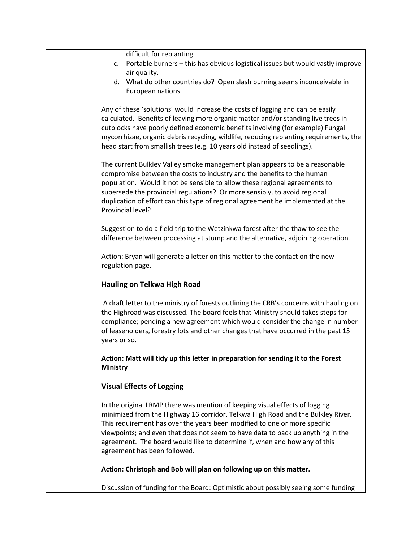| difficult for replanting.<br>Portable burners - this has obvious logistical issues but would vastly improve<br>c.                                                                                                                                                                                                                                                                                                                           |
|---------------------------------------------------------------------------------------------------------------------------------------------------------------------------------------------------------------------------------------------------------------------------------------------------------------------------------------------------------------------------------------------------------------------------------------------|
| air quality.<br>d. What do other countries do? Open slash burning seems inconceivable in                                                                                                                                                                                                                                                                                                                                                    |
| European nations.                                                                                                                                                                                                                                                                                                                                                                                                                           |
| Any of these 'solutions' would increase the costs of logging and can be easily<br>calculated. Benefits of leaving more organic matter and/or standing live trees in<br>cutblocks have poorly defined economic benefits involving (for example) Fungal<br>mycorrhizae, organic debris recycling, wildlife, reducing replanting requirements, the<br>head start from smallish trees (e.g. 10 years old instead of seedlings).                 |
| The current Bulkley Valley smoke management plan appears to be a reasonable<br>compromise between the costs to industry and the benefits to the human<br>population. Would it not be sensible to allow these regional agreements to<br>supersede the provincial regulations? Or more sensibly, to avoid regional<br>duplication of effort can this type of regional agreement be implemented at the<br>Provincial level?                    |
| Suggestion to do a field trip to the Wetzinkwa forest after the thaw to see the<br>difference between processing at stump and the alternative, adjoining operation.                                                                                                                                                                                                                                                                         |
| Action: Bryan will generate a letter on this matter to the contact on the new<br>regulation page.                                                                                                                                                                                                                                                                                                                                           |
| <b>Hauling on Telkwa High Road</b>                                                                                                                                                                                                                                                                                                                                                                                                          |
| A draft letter to the ministry of forests outlining the CRB's concerns with hauling on<br>the Highroad was discussed. The board feels that Ministry should takes steps for<br>compliance; pending a new agreement which would consider the change in number<br>of leaseholders, forestry lots and other changes that have occurred in the past 15<br>years or so.                                                                           |
| Action: Matt will tidy up this letter in preparation for sending it to the Forest<br><b>Ministry</b>                                                                                                                                                                                                                                                                                                                                        |
| <b>Visual Effects of Logging</b>                                                                                                                                                                                                                                                                                                                                                                                                            |
| In the original LRMP there was mention of keeping visual effects of logging<br>minimized from the Highway 16 corridor, Telkwa High Road and the Bulkley River.<br>This requirement has over the years been modified to one or more specific<br>viewpoints; and even that does not seem to have data to back up anything in the<br>agreement. The board would like to determine if, when and how any of this<br>agreement has been followed. |
| Action: Christoph and Bob will plan on following up on this matter.                                                                                                                                                                                                                                                                                                                                                                         |
| Discussion of funding for the Board: Optimistic about possibly seeing some funding                                                                                                                                                                                                                                                                                                                                                          |